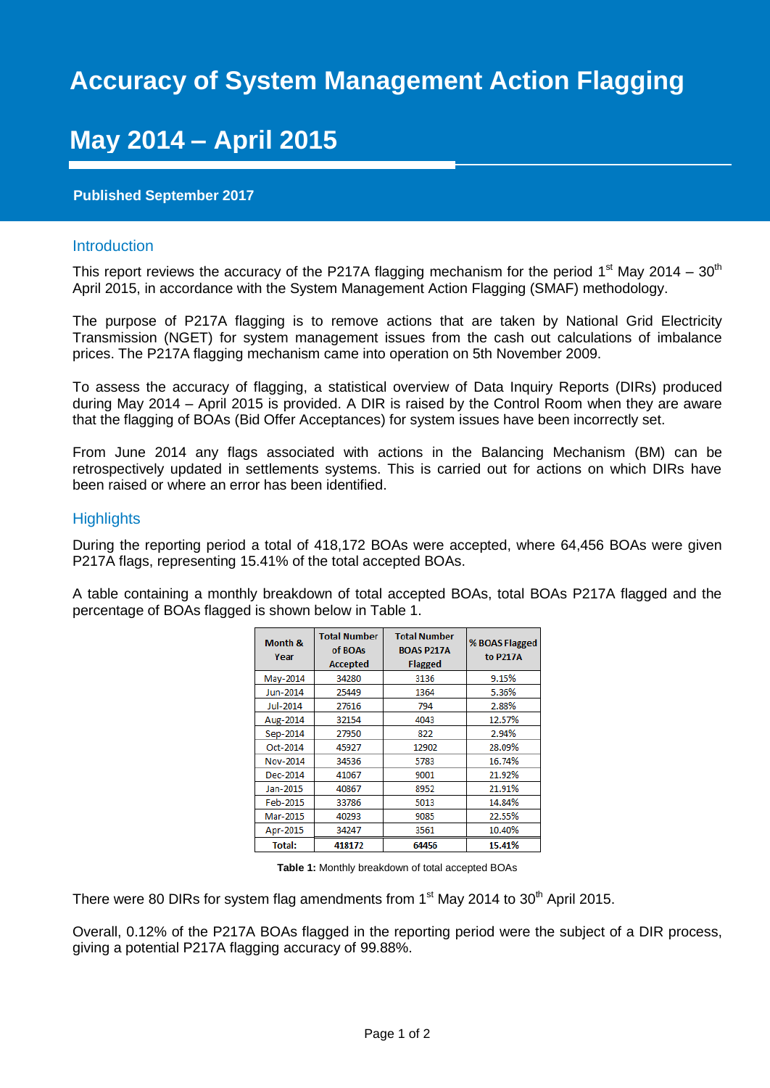# **Accuracy of System Management Action Flagging**

# **May 2014 – April 2015**

## **Published September 2017**

### Introduction

This report reviews the accuracy of the P217A flagging mechanism for the period 1<sup>st</sup> May 2014 – 30<sup>th</sup> April 2015, in accordance with the System Management Action Flagging (SMAF) methodology.

The purpose of P217A flagging is to remove actions that are taken by National Grid Electricity Transmission (NGET) for system management issues from the cash out calculations of imbalance prices. The P217A flagging mechanism came into operation on 5th November 2009.

To assess the accuracy of flagging, a statistical overview of Data Inquiry Reports (DIRs) produced during May 2014 – April 2015 is provided. A DIR is raised by the Control Room when they are aware that the flagging of BOAs (Bid Offer Acceptances) for system issues have been incorrectly set.

From June 2014 any flags associated with actions in the Balancing Mechanism (BM) can be retrospectively updated in settlements systems. This is carried out for actions on which DIRs have been raised or where an error has been identified.

#### **Highlights**

During the reporting period a total of 418,172 BOAs were accepted, where 64,456 BOAs were given P217A flags, representing 15.41% of the total accepted BOAs.

A table containing a monthly breakdown of total accepted BOAs, total BOAs P217A flagged and the percentage of BOAs flagged is shown below in Table 1.

| Month &<br>Year | <b>Total Number</b><br>of BOAs<br><b>Accepted</b> | <b>Total Number</b><br><b>BOAS P217A</b><br><b>Flagged</b> | % BOAS Flagged<br>to P217A |
|-----------------|---------------------------------------------------|------------------------------------------------------------|----------------------------|
| May-2014        | 34280                                             | 3136                                                       | 9.15%                      |
| Jun-2014        | 25449                                             | 1364                                                       | 5.36%                      |
| Jul-2014        | 27616                                             | 794                                                        | 2.88%                      |
| Aug-2014        | 32154                                             | 4043                                                       | 12.57%                     |
| Sep-2014        | 27950                                             | 822                                                        | 2.94%                      |
| Oct-2014        | 45927                                             | 12902                                                      | 28.09%                     |
| Nov-2014        | 34536                                             | 5783                                                       | 16.74%                     |
| Dec-2014        | 41067                                             | 9001                                                       | 21.92%                     |
| Jan-2015        | 40867                                             | 8952                                                       | 21.91%                     |
| Feb-2015        | 33786                                             | 5013                                                       | 14.84%                     |
| Mar-2015        | 40293                                             | 9085                                                       | 22.55%                     |
| Apr-2015        | 34247                                             | 3561                                                       | 10.40%                     |
| <b>Total:</b>   | 418172                                            | 64456                                                      | 15.41%                     |

**Table 1:** Monthly breakdown of total accepted BOAs

There were 80 DIRs for system flag amendments from 1<sup>st</sup> May 2014 to 30<sup>th</sup> April 2015.

Overall, 0.12% of the P217A BOAs flagged in the reporting period were the subject of a DIR process, giving a potential P217A flagging accuracy of 99.88%.